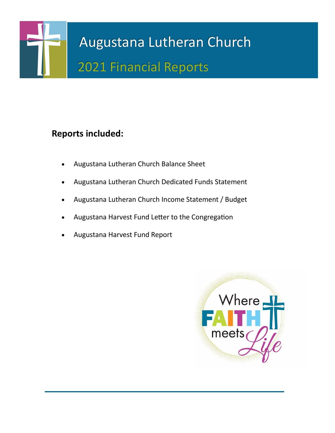

## **Reports included:**

- Augustana Lutheran Church Balance Sheet
- Augustana Lutheran Church Dedicated Funds Statement
- Augustana Lutheran Church Income Statement / Budget
- Augustana Harvest Fund Letter to the Congregation
- Augustana Harvest Fund Report

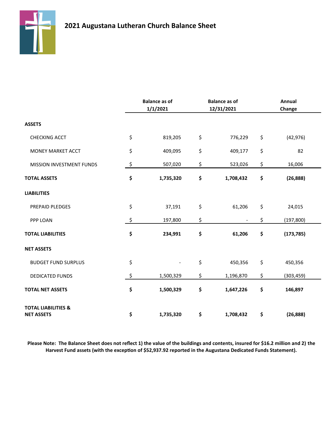

|                                                     | <b>Balance as of</b><br>1/1/2021 | <b>Balance as of</b><br>12/31/2021 | Annual<br>Change |  |
|-----------------------------------------------------|----------------------------------|------------------------------------|------------------|--|
| <b>ASSETS</b>                                       |                                  |                                    |                  |  |
| <b>CHECKING ACCT</b>                                | \$<br>819,205                    | \$<br>776,229                      | \$<br>(42, 976)  |  |
| MONEY MARKET ACCT                                   | \$<br>409,095                    | \$<br>409,177                      | \$<br>82         |  |
| MISSION INVESTMENT FUNDS                            | \$<br>507,020                    | \$<br>523,026                      | \$<br>16,006     |  |
| <b>TOTAL ASSETS</b>                                 | \$<br>1,735,320                  | \$<br>1,708,432                    | \$<br>(26, 888)  |  |
| <b>LIABILITIES</b>                                  |                                  |                                    |                  |  |
| PREPAID PLEDGES                                     | \$<br>37,191                     | \$<br>61,206                       | \$<br>24,015     |  |
| PPP LOAN                                            | \$<br>197,800                    | \$                                 | \$<br>(197, 800) |  |
| <b>TOTAL LIABILITIES</b>                            | \$<br>234,991                    | \$<br>61,206                       | \$<br>(173, 785) |  |
| <b>NET ASSETS</b>                                   |                                  |                                    |                  |  |
| <b>BUDGET FUND SURPLUS</b>                          | \$                               | \$<br>450,356                      | \$<br>450,356    |  |
| <b>DEDICATED FUNDS</b>                              | \$<br>1,500,329                  | \$<br>1,196,870                    | \$<br>(303, 459) |  |
| <b>TOTAL NET ASSETS</b>                             | \$<br>1,500,329                  | \$<br>1,647,226                    | \$<br>146,897    |  |
| <b>TOTAL LIABILITIES &amp;</b><br><b>NET ASSETS</b> | \$<br>1,735,320                  | \$<br>1,708,432                    | \$<br>(26, 888)  |  |

**Please Note: The Balance Sheet does not reflect 1) the value of the buildings and contents, insured for \$16.2 million and 2) the Harvest Fund assets (with the exception of \$52,937.92 reported in the Augustana Dedicated Funds Statement).**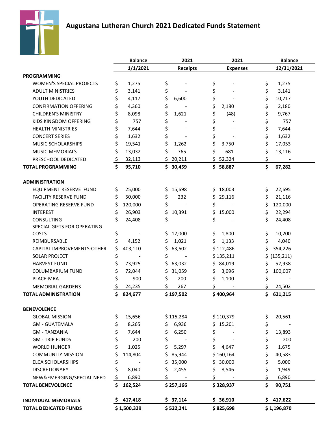



| 1/1/2021<br>12/31/2021<br><b>Receipts</b><br><b>Expenses</b><br><b>PROGRAMMING</b><br>\$<br>\$<br>\$<br>\$<br><b>WOMEN'S SPECIAL PROJECTS</b><br>1,275<br>1,275<br>\$<br>\$<br>\$<br>\$<br><b>ADULT MINISTRIES</b><br>3,141<br>3,141<br>\$<br>\$<br>\$<br>YOUTH DEDICATED<br>\$<br>4,117<br>10,717<br>6,600<br>\$<br>\$<br>\$<br>\$<br><b>CONFIRMATION OFFERING</b><br>4,360<br>2,180<br>2,180<br>\$<br>\$<br>\$<br>\$<br><b>CHILDREN'S MINISTRY</b><br>8,098<br>(48)<br>9,767<br>1,621<br>\$<br>\$<br>\$<br>\$<br>KIDS KINGDOM OFFERING<br>757<br>757<br>\$<br>\$<br>\$<br>\$<br><b>HEALTH MINISTRIES</b><br>7,644<br>7,644<br>\$<br>\$<br>\$<br>\$<br><b>CONCERT SERIES</b><br>1,632<br>1,632<br>\$<br>\$<br>\$<br>\$<br>MUSIC SCHOLARSHIPS<br>19,541<br>17,053<br>1,262<br>3,750 |                        | <b>Balance</b> | 2021<br>2021 |    | <b>Balance</b> |    |        |
|-------------------------------------------------------------------------------------------------------------------------------------------------------------------------------------------------------------------------------------------------------------------------------------------------------------------------------------------------------------------------------------------------------------------------------------------------------------------------------------------------------------------------------------------------------------------------------------------------------------------------------------------------------------------------------------------------------------------------------------------------------------------------------------|------------------------|----------------|--------------|----|----------------|----|--------|
|                                                                                                                                                                                                                                                                                                                                                                                                                                                                                                                                                                                                                                                                                                                                                                                     |                        |                |              |    |                |    |        |
|                                                                                                                                                                                                                                                                                                                                                                                                                                                                                                                                                                                                                                                                                                                                                                                     |                        |                |              |    |                |    |        |
|                                                                                                                                                                                                                                                                                                                                                                                                                                                                                                                                                                                                                                                                                                                                                                                     |                        |                |              |    |                |    |        |
|                                                                                                                                                                                                                                                                                                                                                                                                                                                                                                                                                                                                                                                                                                                                                                                     |                        |                |              |    |                |    |        |
|                                                                                                                                                                                                                                                                                                                                                                                                                                                                                                                                                                                                                                                                                                                                                                                     |                        |                |              |    |                |    |        |
|                                                                                                                                                                                                                                                                                                                                                                                                                                                                                                                                                                                                                                                                                                                                                                                     |                        |                |              |    |                |    |        |
|                                                                                                                                                                                                                                                                                                                                                                                                                                                                                                                                                                                                                                                                                                                                                                                     |                        |                |              |    |                |    |        |
|                                                                                                                                                                                                                                                                                                                                                                                                                                                                                                                                                                                                                                                                                                                                                                                     |                        |                |              |    |                |    |        |
|                                                                                                                                                                                                                                                                                                                                                                                                                                                                                                                                                                                                                                                                                                                                                                                     |                        |                |              |    |                |    |        |
|                                                                                                                                                                                                                                                                                                                                                                                                                                                                                                                                                                                                                                                                                                                                                                                     |                        |                |              |    |                |    |        |
|                                                                                                                                                                                                                                                                                                                                                                                                                                                                                                                                                                                                                                                                                                                                                                                     |                        |                |              |    |                |    |        |
|                                                                                                                                                                                                                                                                                                                                                                                                                                                                                                                                                                                                                                                                                                                                                                                     | <b>MUSIC MEMORIALS</b> | \$<br>13,032   | \$<br>765    | \$ | 681            | \$ | 13,116 |
| \$<br>\$<br>\$<br>\$52,324<br>20,211<br>PRESCHOOL DEDICATED<br>32,113                                                                                                                                                                                                                                                                                                                                                                                                                                                                                                                                                                                                                                                                                                               |                        |                |              |    |                |    |        |
| \$<br>\$<br><b>TOTAL PROGRAMMING</b><br>67,282<br>95,710<br>\$30,459<br>\$58,887                                                                                                                                                                                                                                                                                                                                                                                                                                                                                                                                                                                                                                                                                                    |                        |                |              |    |                |    |        |
| <b>ADMINISTRATION</b>                                                                                                                                                                                                                                                                                                                                                                                                                                                                                                                                                                                                                                                                                                                                                               |                        |                |              |    |                |    |        |
| \$<br>\$<br>EQUIPMENT RESERVE FUND<br>25,000<br>15,698<br>18,003<br>22,695<br>\$<br>S.                                                                                                                                                                                                                                                                                                                                                                                                                                                                                                                                                                                                                                                                                              |                        |                |              |    |                |    |        |
| \$<br>\$<br>\$<br><b>FACILITY RESERVE FUND</b><br>50,000<br>\$<br>29,116<br>21,116<br>232                                                                                                                                                                                                                                                                                                                                                                                                                                                                                                                                                                                                                                                                                           |                        |                |              |    |                |    |        |
| \$<br>\$<br>\$<br>\$<br>OPERATING RESERVE FUND<br>120,000<br>120,000                                                                                                                                                                                                                                                                                                                                                                                                                                                                                                                                                                                                                                                                                                                |                        |                |              |    |                |    |        |
| \$<br>\$<br>\$<br>10,391<br>\$<br><b>INTEREST</b><br>26,903<br>15,000<br>22,294                                                                                                                                                                                                                                                                                                                                                                                                                                                                                                                                                                                                                                                                                                     |                        |                |              |    |                |    |        |
| \$<br>\$<br>\$<br>\$<br><b>CONSULTING</b><br>24,408<br>24,408                                                                                                                                                                                                                                                                                                                                                                                                                                                                                                                                                                                                                                                                                                                       |                        |                |              |    |                |    |        |
| SPECIAL GIFTS FOR OPERATING                                                                                                                                                                                                                                                                                                                                                                                                                                                                                                                                                                                                                                                                                                                                                         |                        |                |              |    |                |    |        |
| \$<br>\$<br><b>COSTS</b><br>\$<br>12,000<br>\$<br>1,800<br>10,200                                                                                                                                                                                                                                                                                                                                                                                                                                                                                                                                                                                                                                                                                                                   |                        |                |              |    |                |    |        |
| \$<br>\$<br>\$<br>REIMBURSABLE<br>4,152<br>\$<br>1,021<br>1,133<br>4,040                                                                                                                                                                                                                                                                                                                                                                                                                                                                                                                                                                                                                                                                                                            |                        |                |              |    |                |    |        |
| \$<br>\$<br>\$<br>CAPITAL IMPROVEMENTS-OTHER<br>403,110<br>63,602<br>\$112,486<br>354,226                                                                                                                                                                                                                                                                                                                                                                                                                                                                                                                                                                                                                                                                                           |                        |                |              |    |                |    |        |
| \$<br>\$<br><b>SOLAR PROJECT</b><br>\$135,211<br>(135, 211)<br>\$                                                                                                                                                                                                                                                                                                                                                                                                                                                                                                                                                                                                                                                                                                                   |                        |                |              |    |                |    |        |
| \$<br>\$<br>\$<br><b>HARVEST FUND</b><br>73,925<br>63,032<br>\$84,019<br>52,938                                                                                                                                                                                                                                                                                                                                                                                                                                                                                                                                                                                                                                                                                                     |                        |                |              |    |                |    |        |
| \$<br>\$<br><b>COLUMBARIUM FUND</b><br>\$<br>31,059<br>\$<br>3,096<br>100,007<br>72,044                                                                                                                                                                                                                                                                                                                                                                                                                                                                                                                                                                                                                                                                                             |                        |                |              |    |                |    |        |
| \$<br>\$<br>PLACE-MRA<br>900<br>\$<br>200<br>\$<br>1,100                                                                                                                                                                                                                                                                                                                                                                                                                                                                                                                                                                                                                                                                                                                            |                        |                |              |    |                |    |        |
| \$<br>\$<br>\$<br>\$<br>24,235<br>267<br>24,502<br><b>MEMORIAL GARDENS</b>                                                                                                                                                                                                                                                                                                                                                                                                                                                                                                                                                                                                                                                                                                          |                        |                |              |    |                |    |        |
| \$<br><b>TOTAL ADMINISTRATION</b><br>\$<br>824,677<br>\$197,502<br>\$400,964<br>621,215                                                                                                                                                                                                                                                                                                                                                                                                                                                                                                                                                                                                                                                                                             |                        |                |              |    |                |    |        |
| <b>BENEVOLENCE</b>                                                                                                                                                                                                                                                                                                                                                                                                                                                                                                                                                                                                                                                                                                                                                                  |                        |                |              |    |                |    |        |
| \$<br>\$<br>15,656<br>\$115,284<br>\$110,379<br>20,561<br><b>GLOBAL MISSION</b>                                                                                                                                                                                                                                                                                                                                                                                                                                                                                                                                                                                                                                                                                                     |                        |                |              |    |                |    |        |
| \$<br>\$<br><b>GM - GUATEMALA</b><br>8,265<br>\$<br>6,936<br>\$.<br>15,201                                                                                                                                                                                                                                                                                                                                                                                                                                                                                                                                                                                                                                                                                                          |                        |                |              |    |                |    |        |
| \$<br>\$<br>\$<br>\$<br><b>GM - TANZANIA</b><br>7,644<br>6,250<br>13,893                                                                                                                                                                                                                                                                                                                                                                                                                                                                                                                                                                                                                                                                                                            |                        |                |              |    |                |    |        |
| \$<br>\$<br>\$<br>\$<br>200<br><b>GM - TRIP FUNDS</b><br>200                                                                                                                                                                                                                                                                                                                                                                                                                                                                                                                                                                                                                                                                                                                        |                        |                |              |    |                |    |        |
| \$<br>\$<br>\$<br>\$<br>1,025<br>1,675<br><b>WORLD HUNGER</b><br>5,297<br>4,647                                                                                                                                                                                                                                                                                                                                                                                                                                                                                                                                                                                                                                                                                                     |                        |                |              |    |                |    |        |
| \$<br>\$<br><b>COMMUNITY MISSION</b><br>114,804<br>\$85,944<br>\$160,164<br>40,583                                                                                                                                                                                                                                                                                                                                                                                                                                                                                                                                                                                                                                                                                                  |                        |                |              |    |                |    |        |
| \$<br>\$<br><b>ELCA SCHOLARSHIPS</b><br>\$<br>35,000<br>\$30,000<br>5,000                                                                                                                                                                                                                                                                                                                                                                                                                                                                                                                                                                                                                                                                                                           |                        |                |              |    |                |    |        |
| \$<br>\$<br><b>DISCRETIONARY</b><br>8,040<br>\$<br>2,455<br>\$<br>8,546<br>1,949                                                                                                                                                                                                                                                                                                                                                                                                                                                                                                                                                                                                                                                                                                    |                        |                |              |    |                |    |        |
| \$<br>\$<br>\$<br>\$<br>6,890<br>6,890<br>NEW&EMERGING/SPECIAL NEED                                                                                                                                                                                                                                                                                                                                                                                                                                                                                                                                                                                                                                                                                                                 |                        |                |              |    |                |    |        |
| \$<br>\$<br><b>TOTAL BENEVOLENCE</b><br>162,524<br>\$257,166<br>\$328,937<br>90,751                                                                                                                                                                                                                                                                                                                                                                                                                                                                                                                                                                                                                                                                                                 |                        |                |              |    |                |    |        |
| 417,418<br>\$37,114<br>\$36,910<br>\$417,622<br><b>INDIVIDUAL MEMORIALS</b><br>S.                                                                                                                                                                                                                                                                                                                                                                                                                                                                                                                                                                                                                                                                                                   |                        |                |              |    |                |    |        |
| \$1,500,329<br>\$522,241<br>\$1,196,870<br><b>TOTAL DEDICATED FUNDS</b><br>\$825,698                                                                                                                                                                                                                                                                                                                                                                                                                                                                                                                                                                                                                                                                                                |                        |                |              |    |                |    |        |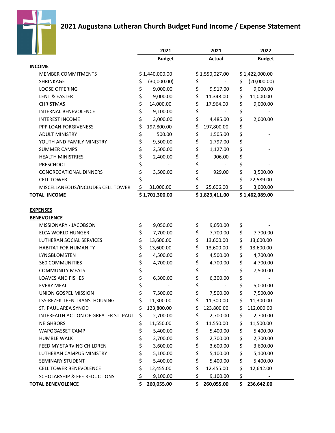

### **2021 Augustana Lutheran Church Budget Fund Income / Expense Statement**

|                                       |    | 2021                     | 2021                 | 2022              |  |  |
|---------------------------------------|----|--------------------------|----------------------|-------------------|--|--|
|                                       |    | <b>Budget</b>            | <b>Actual</b>        | <b>Budget</b>     |  |  |
| <b>INCOME</b>                         |    |                          |                      |                   |  |  |
| <b>MEMBER COMMITMENTS</b>             |    | \$1,440,000.00           | \$1,550,027.00       | \$1,422,000.00    |  |  |
| SHRINKAGE                             | \$ | (30,000.00)              | \$                   | \$<br>(20,000.00) |  |  |
| <b>LOOSE OFFERING</b>                 | \$ | 9,000.00                 | \$<br>9,917.00       | \$<br>9,000.00    |  |  |
| LENT & EASTER                         | \$ | 9,000.00                 | \$<br>11,348.00      | \$<br>11,000.00   |  |  |
| <b>CHRISTMAS</b>                      | \$ | 14,000.00                | \$<br>17,964.00      | \$<br>9,000.00    |  |  |
| <b>INTERNAL BENEVOLENCE</b>           | \$ | 9,100.00                 | \$                   | \$                |  |  |
| <b>INTEREST INCOME</b>                | \$ | 3,000.00                 | \$<br>4,485.00       | \$<br>2,000.00    |  |  |
| PPP LOAN FORGIVENESS                  | \$ | 197,800.00               | \$<br>197,800.00     | \$                |  |  |
| <b>ADULT MINISTRY</b>                 | \$ | 500.00                   | \$<br>1,505.00       | \$                |  |  |
| YOUTH AND FAMILY MINISTRY             | \$ | 9,500.00                 | \$<br>1,797.00       | \$                |  |  |
| <b>SUMMER CAMPS</b>                   | \$ | 2,500.00                 | \$<br>1,127.00       | \$                |  |  |
| <b>HEALTH MINISTRIES</b>              | \$ | 2,400.00                 | \$<br>906.00         | \$                |  |  |
| PRESCHOOL                             | \$ |                          | \$                   | \$                |  |  |
| <b>CONGREGATIONAL DINNERS</b>         | \$ | 3,500.00                 | \$<br>929.00         | \$<br>3,500.00    |  |  |
| <b>CELL TOWER</b>                     | \$ |                          | \$                   | \$<br>22,589.00   |  |  |
| MISCELLANEOUS/INCLUDES CELL TOWER     | \$ | 31,000.00                | \$<br>25,606.00      | \$<br>3,000.00    |  |  |
| <b>TOTAL INCOME</b>                   |    | \$1,701,300.00           | \$1,823,411.00       | \$1,462,089.00    |  |  |
|                                       |    |                          |                      |                   |  |  |
| <b>EXPENSES</b>                       |    |                          |                      |                   |  |  |
| <b>BENEVOLENCE</b>                    |    |                          |                      |                   |  |  |
| MISSIONARY - JACOBSON                 | \$ | 9,050.00                 | \$<br>9,050.00       | \$                |  |  |
| ELCA WORLD HUNGER                     | \$ | 7,700.00                 | \$<br>7,700.00       | \$<br>7,700.00    |  |  |
| LUTHERAN SOCIAL SERVICES              | \$ | 13,600.00                | \$<br>13,600.00      | \$<br>13,600.00   |  |  |
| <b>HABITAT FOR HUMANITY</b>           | \$ | 13,600.00                | \$<br>13,600.00      | \$<br>13,600.00   |  |  |
| LYNGBLOMSTEN                          | \$ | 4,500.00                 | \$<br>4,500.00       | \$<br>4,700.00    |  |  |
| <b>360 COMMUNITIES</b>                | \$ | 4,700.00                 | \$<br>4,700.00       | \$<br>4,700.00    |  |  |
| <b>COMMUNITY MEALS</b>                | \$ | $\overline{\phantom{a}}$ | \$<br>$\blacksquare$ | \$<br>7,500.00    |  |  |
| <b>LOAVES AND FISHES</b>              | \$ | 6,300.00                 | \$<br>6,300.00       | \$                |  |  |
| <b>EVERY MEAL</b>                     | \$ |                          | \$                   | \$<br>5,000.00    |  |  |
| UNION GOSPEL MISSION                  | \$ | 7,500.00                 | \$<br>7,500.00       | \$<br>7,500.00    |  |  |
| LSS-REZEK TEEN TRANS. HOUSING         | \$ | 11,300.00                | \$<br>11,300.00      | \$<br>11,300.00   |  |  |
| ST. PAUL AREA SYNOD                   | Ś  | 123,800.00               | \$<br>123,800.00     | \$<br>112,000.00  |  |  |
| INTERFAITH ACTION OF GREATER ST. PAUL | \$ | 2,700.00                 | \$<br>2,700.00       | \$<br>2,700.00    |  |  |
| <b>NEIGHBORS</b>                      | \$ | 11,550.00                | \$<br>11,550.00      | \$<br>11,500.00   |  |  |
| WAPOGASSET CAMP                       | \$ | 5,400.00                 | \$<br>5,400.00       | \$<br>5,400.00    |  |  |
| <b>HUMBLE WALK</b>                    | \$ | 2,700.00                 | \$<br>2,700.00       | \$<br>2,700.00    |  |  |
| FEED MY STARVING CHILDREN             | \$ | 3,600.00                 | \$<br>3,600.00       | \$<br>3,600.00    |  |  |
| LUTHERAN CAMPUS MINISTRY              | \$ | 5,100.00                 | \$<br>5,100.00       | \$<br>5,100.00    |  |  |
| SEMINARY STUDENT                      | \$ | 5,400.00                 | \$<br>5,400.00       | \$<br>5,400.00    |  |  |
| <b>CELL TOWER BENEVOLENCE</b>         | \$ | 12,455.00                | \$<br>12,455.00      | \$<br>12,642.00   |  |  |
| SCHOLARSHIP & FEE REDUCTIONS          | \$ | 9,100.00                 | \$<br>9,100.00       | \$                |  |  |
| <b>TOTAL BENEVOLENCE</b>              | \$ | 260,055.00               | \$<br>260,055.00     | \$<br>236,642.00  |  |  |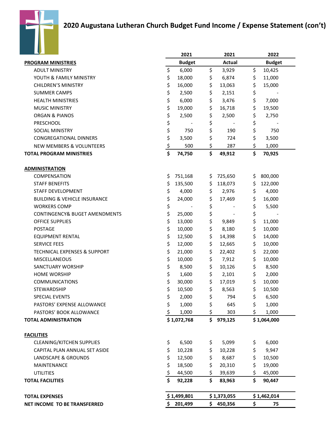

|                                          |           | 2021          |    | 2021                     |     | 2022          |
|------------------------------------------|-----------|---------------|----|--------------------------|-----|---------------|
| <b>PROGRAM MINISTRIES</b>                |           | <b>Budget</b> |    | <b>Actual</b>            |     | <b>Budget</b> |
| <b>ADULT MINISTRY</b>                    | \$        | 6,000         | \$ | 3,929                    | \$  | 10,425        |
| YOUTH & FAMILY MINISTRY                  | \$        | 18,000        | \$ | 6,874                    | \$  | 11,000        |
| <b>CHILDREN'S MINISTRY</b>               | \$        | 16,000        | \$ | 13,063                   | \$  | 15,000        |
| <b>SUMMER CAMPS</b>                      | \$        | 2,500         | \$ | 2,151                    | \$  |               |
| <b>HEALTH MINISTRIES</b>                 | \$        | 6,000         | \$ | 3,476                    | \$  | 7,000         |
| <b>MUSIC MINISTRY</b>                    | \$        | 19,000        | \$ | 16,718                   | \$  | 19,500        |
| <b>ORGAN &amp; PIANOS</b>                | \$        | 2,500         | \$ | 2,500                    | \$  | 2,750         |
| PRESCHOOL                                | \$        |               | \$ |                          | \$  |               |
| <b>SOCIAL MINISTRY</b>                   | \$        | 750           | \$ | 190                      | \$  | 750           |
| <b>CONGREGATIONAL DINNERS</b>            | \$        | 3,500         | \$ | 724                      | \$  | 3,500         |
| <b>NEW MEMBERS &amp; VOLUNTEERS</b>      | <u>\$</u> | 500           | \$ | 287                      | \$  | 1,000         |
| <b>TOTAL PROGRAM MINISTRIES</b>          | \$        | 74,750        | \$ | 49,912                   | \$  | 70,925        |
| <b>ADMINISTRATION</b>                    |           |               |    |                          |     |               |
| <b>COMPENSATION</b>                      | \$        | 751,168       | \$ | 725,650                  | \$  | 800,000       |
| <b>STAFF BENEFITS</b>                    | \$        | 135,500       | \$ | 118,073                  | \$  | 122,000       |
| STAFF DEVELOPMENT                        | \$        | 4,000         | \$ | 2,976                    | \$  | 4,000         |
| <b>BUILDING &amp; VEHICLE INSURANCE</b>  | \$        | 24,000        | \$ | 17,469                   | \$  | 16,000        |
| <b>WORKERS COMP</b>                      | \$        |               | \$ |                          | \$  | 5,500         |
| <b>CONTINGENCY&amp; BUGET AMENDMENTS</b> | \$        | 25,000        | \$ | $\overline{\phantom{a}}$ | \$  |               |
| <b>OFFICE SUPPLIES</b>                   | \$        | 13,000        | \$ | 9,849                    | \$  | 11,000        |
| <b>POSTAGE</b>                           | \$        | 10,000        | \$ | 8,180                    | \$  | 10,000        |
| <b>EQUIPMENT RENTAL</b>                  | \$        | 12,500        | \$ | 14,398                   | \$  | 14,000        |
| <b>SERVICE FEES</b>                      | \$        | 12,000        | \$ | 12,665                   | \$  | 10,000        |
| <b>TECHNICAL EXPENSES &amp; SUPPORT</b>  | \$        | 21,000        | \$ | 22,402                   | \$  | 22,000        |
| <b>MISCELLANEOUS</b>                     | \$        | 10,000        | \$ | 7,912                    | \$  | 10,000        |
| SANCTUARY WORSHIP                        | \$        | 8,500         | \$ | 10,126                   | \$  | 8,500         |
| <b>HOME WORSHIP</b>                      | \$        | 1,600         | \$ | 2,101                    | \$  | 2,000         |
| <b>COMMUNICATIONS</b>                    | \$        | 30,000        | \$ | 17,019                   | \$  | 10,000        |
| <b>STEWARDSHIP</b>                       | \$        | 10,500        | \$ | 8,563                    | \$  | 10,500        |
| <b>SPECIAL EVENTS</b>                    | \$        | 2,000         | Ś  | 794                      | \$  | 6,500         |
| PASTORS' EXPENSE ALLOWANCE               | \$        | 1,000         | \$ | 645                      | \$  | 1,000         |
| PASTORS' BOOK ALLOWANCE                  | \$        | 1,000         | \$ | 303                      | \$  | 1,000         |
| <b>TOTAL ADMINISTRATION</b>              |           | \$1,072,768   | \$ | 979,125                  |     | \$1,064,000   |
| <b>FACILITIES</b>                        |           |               |    |                          |     |               |
| <b>CLEANING/KITCHEN SUPPLIES</b>         | \$        | 6,500         | \$ | 5,099                    | Ş.  | 6,000         |
| CAPITAL PLAN ANNUAL SET ASIDE            | \$        | 10,228        | \$ | 10,228                   | \$  | 9,947         |
| LANDSCAPE & GROUNDS                      | \$        | 12,500        | \$ | 8,687                    | \$  | 10,500        |
| MAINTENANCE                              | \$        | 18,500        | \$ | 20,310                   | \$. | 19,000        |
| <b>UTILITIES</b>                         | \$        | 44,500        | \$ | 39,639                   | \$  | 45,000        |
| <b>TOTAL FACILITIES</b>                  | \$        | 92,228        | \$ | 83,963                   | \$  | 90,447        |
| <b>TOTAL EXPENSES</b>                    |           | \$1,499,801   |    | \$1,373,055              |     | \$1,462,014   |
| <b>NET INCOME TO BE TRANSFERRED</b>      | \$.       | 201,499       |    | \$450,356                | \$  | 75            |
|                                          |           |               |    |                          |     |               |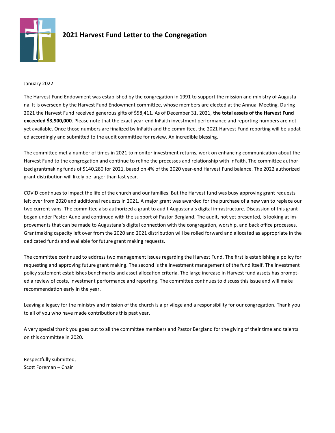

### **2021 Harvest Fund Letter to the Congregation**

#### January 2022

The Harvest Fund Endowment was established by the congregation in 1991 to support the mission and ministry of Augustana. It is overseen by the Harvest Fund Endowment committee, whose members are elected at the Annual Meeting. During 2021 the Harvest Fund received generous gifts of \$58,411. As of December 31, 2021, **the total assets of the Harvest Fund exceeded \$3,900,000**. Please note that the exact year-end InFaith investment performance and reporting numbers are not yet available. Once those numbers are finalized by InFaith and the committee, the 2021 Harvest Fund reporting will be updated accordingly and submitted to the audit committee for review. An incredible blessing.

The committee met a number of times in 2021 to monitor investment returns, work on enhancing communication about the Harvest Fund to the congregation and continue to refine the processes and relationship with InFaith. The committee authorized grantmaking funds of \$140,280 for 2021, based on 4% of the 2020 year-end Harvest Fund balance. The 2022 authorized grant distribution will likely be larger than last year.

COVID continues to impact the life of the church and our families. But the Harvest fund was busy approving grant requests left over from 2020 and additional requests in 2021. A major grant was awarded for the purchase of a new van to replace our two current vans. The committee also authorized a grant to audit Augustana's digital infrastructure. Discussion of this grant began under Pastor Aune and continued with the support of Pastor Bergland. The audit, not yet presented, is looking at improvements that can be made to Augustana's digital connection with the congregation, worship, and back office processes. Grantmaking capacity left over from the 2020 and 2021 distribution will be rolled forward and allocated as appropriate in the dedicated funds and available for future grant making requests.

The committee continued to address two management issues regarding the Harvest Fund. The first is establishing a policy for requesting and approving future grant making. The second is the investment management of the fund itself. The investment policy statement establishes benchmarks and asset allocation criteria. The large increase in Harvest fund assets has prompted a review of costs, investment performance and reporting. The committee continues to discuss this issue and will make recommendation early in the year.

Leaving a legacy for the ministry and mission of the church is a privilege and a responsibility for our congregation. Thank you to all of you who have made contributions this past year.

A very special thank you goes out to all the committee members and Pastor Bergland for the giving of their time and talents on this committee in 2020.

Respectfully submitted, Scott Foreman – Chair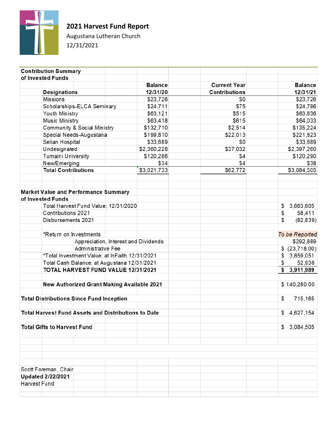

**2021 Harvest Fund Report** 

Augustana Lutheran Church 12/31/2021

| <b>Contribution Summary</b>                                |                                                |                                      |                      |                 |
|------------------------------------------------------------|------------------------------------------------|--------------------------------------|----------------------|-----------------|
| of Invested Funds                                          |                                                |                                      |                      |                 |
|                                                            |                                                | <b>Balance</b>                       | <b>Current Year</b>  | <b>Balance</b>  |
| <b>Designations</b>                                        |                                                | 12/31/20                             | <b>Contributions</b> | 12/31/21        |
| <b>Missions</b>                                            |                                                | \$23,726                             | \$0                  | \$23,726        |
|                                                            | Scholarships-ELCA Seminary                     | \$24,711                             | \$75                 | \$24,786        |
| Youth Ministry                                             |                                                | \$63,121                             | \$515                | \$63,636        |
| <b>Music Ministry</b>                                      |                                                | \$63,418                             | \$615                | \$64,033        |
|                                                            | Community & Social Ministry                    | \$132,710                            | \$2,514              | \$135,224       |
|                                                            | Special Needs-Augustana                        | \$199,810                            | \$22,013             | \$221,823       |
| Selian Hospital                                            |                                                | \$33,689                             | \$0                  | \$33,689        |
| Undesignated                                               |                                                | \$2,360,228                          | \$37,032             | \$2,397,260     |
| Tumaini University                                         |                                                | \$120,286                            | \$4                  | \$120,290       |
| New/Emerging                                               |                                                | \$34                                 | \$4                  | \$38            |
|                                                            | <b>Total Contributions</b>                     | \$3,021,733                          | \$62,772             | \$3,084,505     |
|                                                            |                                                |                                      |                      |                 |
|                                                            |                                                |                                      |                      |                 |
| <b>Market Value and Performance Summary</b>                |                                                |                                      |                      |                 |
| of Invested Funds                                          |                                                |                                      |                      |                 |
|                                                            | Total Harvest Fund Value; 12/31/2020           |                                      |                      | 3,663,805<br>\$ |
| Contributions 2021                                         |                                                |                                      |                      | 58,411<br>\$    |
|                                                            | Disbursements 2021                             |                                      |                      | (82, 839)<br>\$ |
|                                                            |                                                |                                      |                      |                 |
|                                                            | *Return on Investments                         |                                      |                      | To be Reported  |
|                                                            |                                                | Appreciation, Interest and Dividends |                      | \$292,889       |
|                                                            | Administrative Fee                             |                                      |                      | \$ (23,718.00)  |
|                                                            | *Total Investment Value; at InFaith 12/31/2021 |                                      |                      | 3,859,051<br>\$ |
|                                                            | Total Cash Balance; at Augustana 12/31/2021    |                                      |                      | 52,938<br>\$    |
|                                                            | TOTAL HARVEST FUND VALUE 12/31/2021            |                                      |                      | 3,911,989<br>\$ |
|                                                            |                                                |                                      |                      |                 |
|                                                            | New Authorized Grant Making Available 2021     |                                      |                      | \$140,280.00    |
|                                                            |                                                |                                      |                      |                 |
| <b>Total Distributions Since Fund Inception</b>            |                                                |                                      |                      | \$<br>715,165   |
|                                                            |                                                |                                      |                      |                 |
| <b>Total Harvest Fund Assets and Distributions to Date</b> |                                                |                                      |                      | \$4,627,154     |
|                                                            |                                                |                                      |                      |                 |
| <b>Total Gifts to Harvest Fund</b>                         |                                                |                                      |                      | \$3,084,505     |
|                                                            |                                                |                                      |                      |                 |
|                                                            |                                                |                                      |                      |                 |
|                                                            |                                                |                                      |                      |                 |
|                                                            |                                                |                                      |                      |                 |
|                                                            |                                                |                                      |                      |                 |
| Scott Foreman, Chair                                       |                                                |                                      |                      |                 |
| <b>Updated 2/22/2021</b>                                   |                                                |                                      |                      |                 |
| Harvest Fund                                               |                                                |                                      |                      |                 |
|                                                            |                                                |                                      |                      |                 |
|                                                            |                                                |                                      |                      |                 |